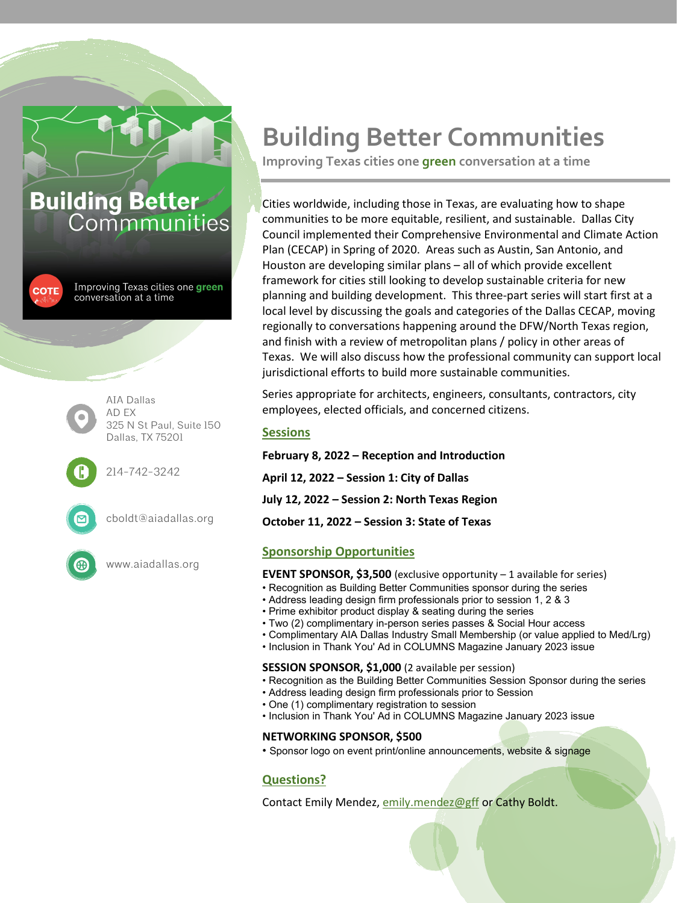### **Building Better** Commmunities

**COTE** 

Improving Texas cities one **green** conversation at a time



325 N St Paul, Suite 150 Dallas, TX 75201

214-742-3242



cboldt@aiadallas.org

www.aiadallas.org

## **Building Better Communities**

**Improving Texas cities one green conversation at a time**

Cities worldwide, including those in Texas, are evaluating how to shape communities to be more equitable, resilient, and sustainable. Dallas City Council implemented their Comprehensive Environmental and Climate Action Plan (CECAP) in Spring of 2020. Areas such as Austin, San Antonio, and Houston are developing similar plans – all of which provide excellent framework for cities still looking to develop sustainable criteria for new planning and building development. This three-part series will start first at a local level by discussing the goals and categories of the Dallas CECAP, moving regionally to conversations happening around the DFW/North Texas region, and finish with a review of metropolitan plans / policy in other areas of Texas. We will also discuss how the professional community can support local jurisdictional efforts to build more sustainable communities.

Series appropriate for architects, engineers, consultants, contractors, city employees, elected officials, and concerned citizens.

#### **Sessions**

**February 8, 2022 – Reception and Introduction April 12, 2022 – Session 1: City of Dallas July 12, 2022 – Session 2: North Texas Region October 11, 2022 – Session 3: State of Texas**

#### **Sponsorship Opportunities**

**EVENT SPONSOR, \$3,500** (exclusive opportunity – 1 available for series)

- Recognition as Building Better Communities sponsor during the series
- Address leading design firm professionals prior to session 1, 2 & 3
- Prime exhibitor product display & seating during the series
- Two (2) complimentary in-person series passes & Social Hour access
- Complimentary AIA Dallas Industry Small Membership (or value applied to Med/Lrg)
- Inclusion in Thank You' Ad in COLUMNS Magazine January 2023 issue

#### **SESSION SPONSOR, \$1,000** (2 available per session)

- Recognition as the Building Better Communities Session Sponsor during the series
- Address leading design firm professionals prior to Session
- One (1) complimentary registration to session
- Inclusion in Thank You' Ad in COLUMNS Magazine January 2023 issue

#### **NETWORKING SPONSOR, \$500**

• Sponsor logo on event print/online announcements, website & signage

#### **Questions?**

Contact Emily Mendez, [emily.mendez@gff](mailto:emily.mendez@gff) or Cathy Boldt.